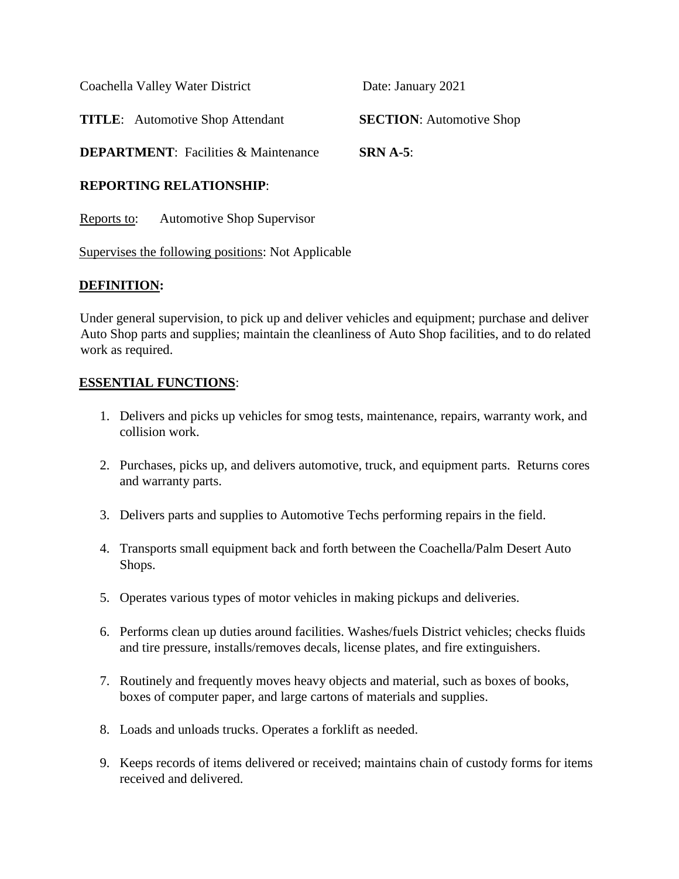| <b>DEPARTMENT:</b> Facilities & Maintenance | $SRN A-5$ :                     |
|---------------------------------------------|---------------------------------|
| <b>TITLE:</b> Automotive Shop Attendant     | <b>SECTION:</b> Automotive Shop |
| Coachella Valley Water District             | Date: January 2021              |

# **REPORTING RELATIONSHIP**:

Reports to: Automotive Shop Supervisor

Supervises the following positions: Not Applicable

## **DEFINITION:**

Under general supervision, to pick up and deliver vehicles and equipment; purchase and deliver Auto Shop parts and supplies; maintain the cleanliness of Auto Shop facilities, and to do related work as required.

## **ESSENTIAL FUNCTIONS**:

- 1. Delivers and picks up vehicles for smog tests, maintenance, repairs, warranty work, and collision work.
- 2. Purchases, picks up, and delivers automotive, truck, and equipment parts. Returns cores and warranty parts.
- 3. Delivers parts and supplies to Automotive Techs performing repairs in the field.
- 4. Transports small equipment back and forth between the Coachella/Palm Desert Auto Shops.
- 5. Operates various types of motor vehicles in making pickups and deliveries.
- 6. Performs clean up duties around facilities. Washes/fuels District vehicles; checks fluids and tire pressure, installs/removes decals, license plates, and fire extinguishers.
- 7. Routinely and frequently moves heavy objects and material, such as boxes of books, boxes of computer paper, and large cartons of materials and supplies.
- 8. Loads and unloads trucks. Operates a forklift as needed.
- 9. Keeps records of items delivered or received; maintains chain of custody forms for items received and delivered.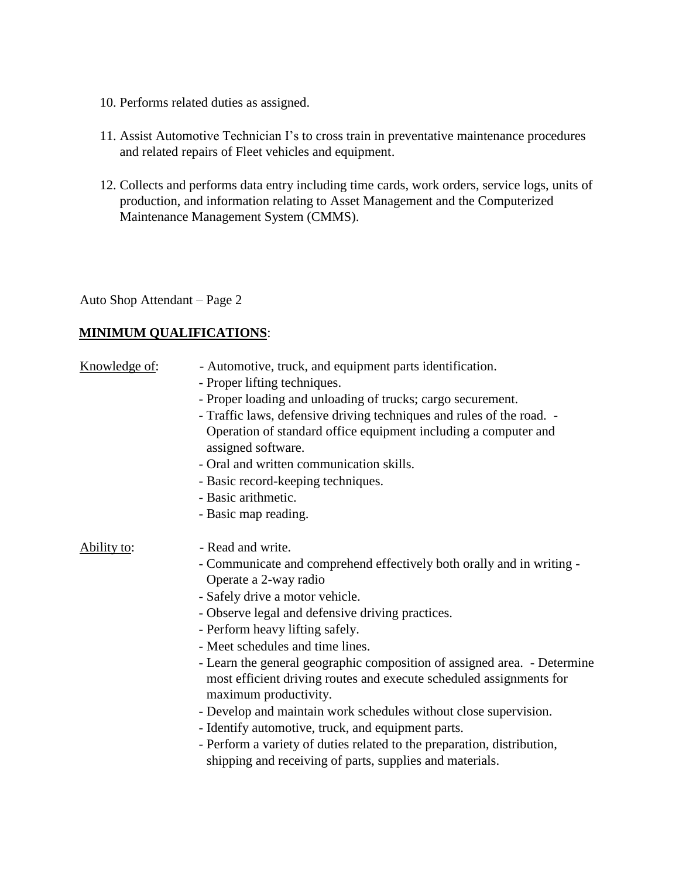- 10. Performs related duties as assigned.
- 11. Assist Automotive Technician I's to cross train in preventative maintenance procedures and related repairs of Fleet vehicles and equipment.
- 12. Collects and performs data entry including time cards, work orders, service logs, units of production, and information relating to Asset Management and the Computerized Maintenance Management System (CMMS).

Auto Shop Attendant – Page 2

# **MINIMUM QUALIFICATIONS**:

| Knowledge of: | - Automotive, truck, and equipment parts identification.<br>- Proper lifting techniques.<br>- Proper loading and unloading of trucks; cargo securement.<br>- Traffic laws, defensive driving techniques and rules of the road. -<br>Operation of standard office equipment including a computer and<br>assigned software.<br>- Oral and written communication skills.<br>- Basic record-keeping techniques.                                                                                                                                                                                                                                                                                                                    |
|---------------|--------------------------------------------------------------------------------------------------------------------------------------------------------------------------------------------------------------------------------------------------------------------------------------------------------------------------------------------------------------------------------------------------------------------------------------------------------------------------------------------------------------------------------------------------------------------------------------------------------------------------------------------------------------------------------------------------------------------------------|
|               | - Basic arithmetic.                                                                                                                                                                                                                                                                                                                                                                                                                                                                                                                                                                                                                                                                                                            |
|               | - Basic map reading.                                                                                                                                                                                                                                                                                                                                                                                                                                                                                                                                                                                                                                                                                                           |
| Ability to:   | - Read and write.<br>- Communicate and comprehend effectively both orally and in writing -<br>Operate a 2-way radio<br>- Safely drive a motor vehicle.<br>- Observe legal and defensive driving practices.<br>- Perform heavy lifting safely.<br>- Meet schedules and time lines.<br>- Learn the general geographic composition of assigned area. - Determine<br>most efficient driving routes and execute scheduled assignments for<br>maximum productivity.<br>- Develop and maintain work schedules without close supervision.<br>- Identify automotive, truck, and equipment parts.<br>- Perform a variety of duties related to the preparation, distribution,<br>shipping and receiving of parts, supplies and materials. |